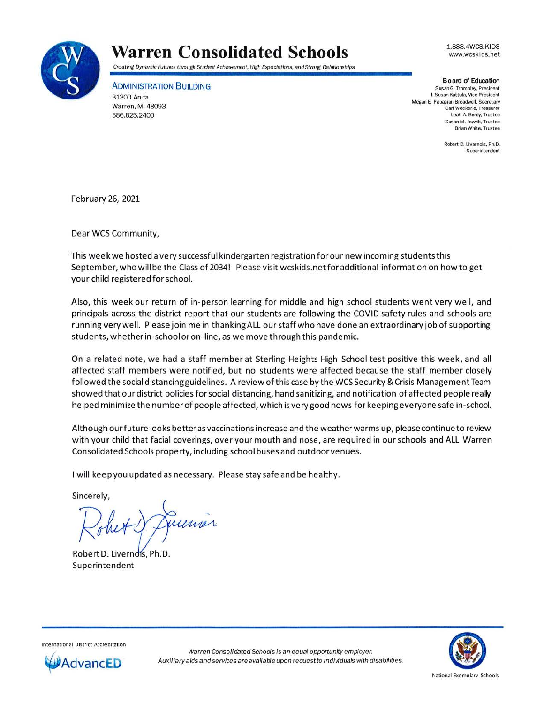

## **Warren Consolidated Schools**

Creating Dynamic Futures through Student Achievement, High Expectations, and Strong Relationships

ADMINISTRATION BUILDING 31300 Anita Warren, Ml 48093

586.825.2400

1.888.4WCS.KIDS www.wcsk ids.net

**Board of Education** Susan G. Trombley. President I. Susan Kattula, Vice President Megan E. Papasian-Broadwell, Secretary Carl Weckerle, Treasurer Leah A. Berdy, Trustee Susan M, Jozwik, Trustee Brian White, Trustee

> Robert D. Livernois, Ph.D. **Superintendent**

February 26, 2021

Dear WCS Community,

This week we hosted a very successful kindergarten registration for our new incoming students this September, who will be the Class of 2034! Please visit wcskids.net for additional information on how to get your child registered for school.

Also, this week our return of in-person learning for middle and high school students went very well, and principals across the district report that our students are following the COVID safety rules and schools are running very well. Please join me in thanking ALL our staff who have done an extraordinary job of supporting students, whether in-school or on-line, as we move through this pandemic.

On a related note, we had a staff member at Sterling Heights High School test positive this week, and all affected staff members were notified, but no students were affected because the staff member closely followed the social distancing guidelines. A review of this case by the WCS Security & Crisis Management Team showed that our district policies for social distancing, hand sanitizing, and notification of affected people really helped minimize the number of people affected, which is very good news for keeping everyone safe in-school.

Although ourfuture looks better as vaccinations increase and the weather warms up, please continue to review with your child that facial coverings, over your mouth and nose, are required in our schools and ALL Warren Consolidated Schools property, including school buses and outdoor venues.

I will keep you updated as necessary. Please stay safe and be healthy.

Sincerely,

Robert **D.** Livern Superintendent



Intern ational District Accreditation



Warren Consolidated Schools is an equal opportunity employer. Auxiliary aids and services are available upon request to individuals with disabilities.